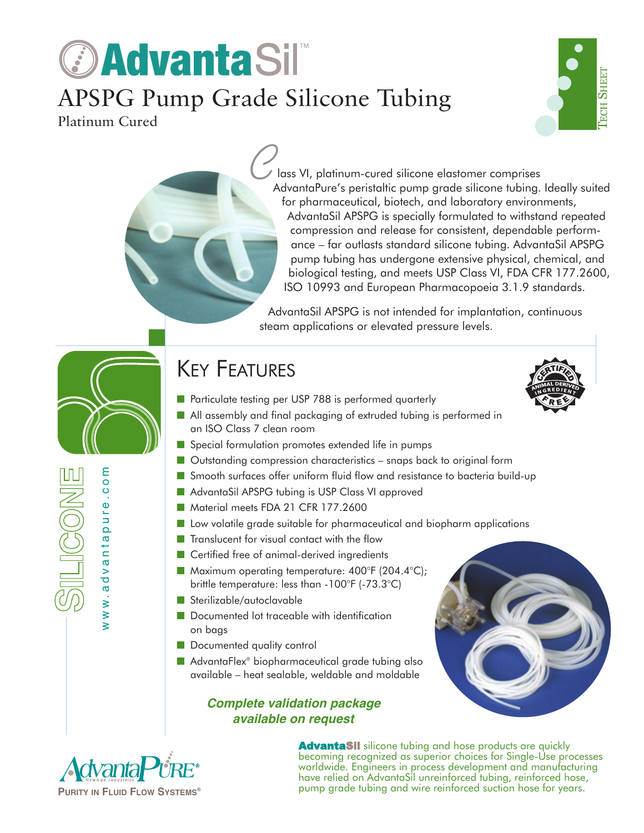## *<b>DAdvantaSil* APSPG Pump Grade Silicone Tubing Platinum Cured



lass VI, platinum-cured silicone elastomer comprises AdvantaPure's peristaltic pump grade silicone tubing. Ideally suited for pharmaceutical, biotech, and laboratory environments, AdvantaSil APSPG is specially formulated to withstand repeated compression and release for consistent, dependable performance – far outlasts standard silicone tubing. AdvantaSil APSPG pump tubing has undergone extensive physical, chemical, and biological testing, and meets USP Class VI, FDA CFR 177.2600, ISO 10993 and European Pharmacopoeia 3.1.9 standards.  $\mathcal{C}_{\mu}$ 

AdvantaSil APSPG is not intended for implantation, continuous steam applications or elevated pressure levels.

### **KEY FEATURES**

- Particulate testing per USP 788 is performed quarterly
- All assembly and final packaging of extruded tubing is performed in an ISO Class 7 clean room
- Special formulation promotes extended life in pumps
- Outstanding compression characteristics snaps back to original form
- Smooth surfaces offer uniform fluid flow and resistance to bacteria build-up
- AdvantaSil APSPG tubing is USP Class VI approved
- Material meets FDA 21 CFR 177.2600
- Low volatile grade suitable for pharmaceutical and biopharm applications
- Translucent for visual contact with the flow
- Certified free of animal-derived ingredients
- Maximum operating temperature: 400°F (204.4°C); brittle temperature: less than -100°F (-73.3°C)
- Sterilizable/autoclavable
- Documented lot traceable with identification on bags
- Documented quality control
- AdvantaFlex<sup>®</sup> biopharmaceutical grade tubing also available – heat sealable, weldable and moldable

#### **Complete validation package available on request**



www.advantapure.com

ww.advanta

IL ICONI

ε  $\circ$ 

 $\frac{0}{1}$ 

pure

AdvantaSil silicone tubing and hose products are quickly becoming recognized as superior choices for Single-Use processes worldwide. Engineers in process development and manufacturing have relied on AdvantaSil unreinforced tubing, reinforced hose, pump grade tubing and wire reinforced suction hose for years.